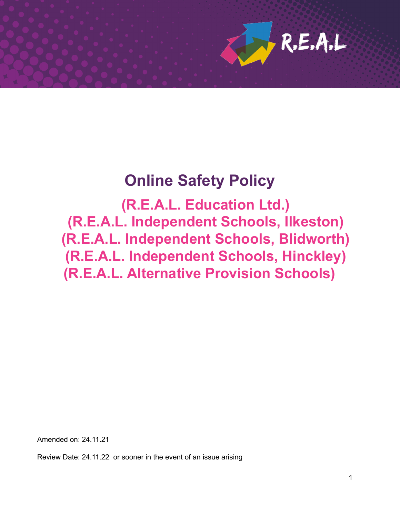

# **Online Safety Policy**

**(R.E.A.L. Education Ltd.) (R.E.A.L. Independent Schools, Ilkeston) (R.E.A.L. Independent Schools, Blidworth) (R.E.A.L. Independent Schools, Hinckley) (R.E.A.L. Alternative Provision Schools)**

Amended on: 24.11.21

Review Date: 24.11.22 or sooner in the event of an issue arising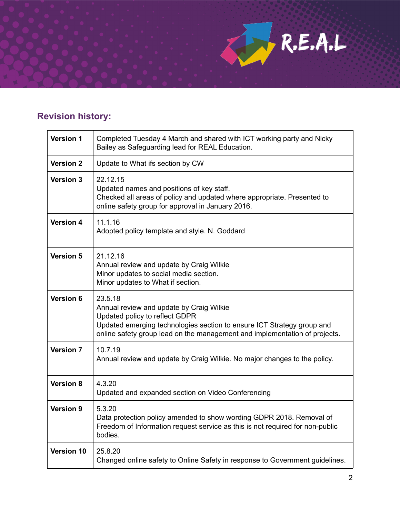# **Revision history:**

| <b>Version 1</b> | Completed Tuesday 4 March and shared with ICT working party and Nicky<br>Bailey as Safeguarding lead for REAL Education.                                                                                                                      |  |
|------------------|-----------------------------------------------------------------------------------------------------------------------------------------------------------------------------------------------------------------------------------------------|--|
| <b>Version 2</b> | Update to What ifs section by CW                                                                                                                                                                                                              |  |
| <b>Version 3</b> | 22.12.15<br>Updated names and positions of key staff.<br>Checked all areas of policy and updated where appropriate. Presented to<br>online safety group for approval in January 2016.                                                         |  |
| <b>Version 4</b> | 11.1.16<br>Adopted policy template and style. N. Goddard                                                                                                                                                                                      |  |
| <b>Version 5</b> | 21.12.16<br>Annual review and update by Craig Wilkie<br>Minor updates to social media section.<br>Minor updates to What if section.                                                                                                           |  |
| <b>Version 6</b> | 23.5.18<br>Annual review and update by Craig Wilkie<br>Updated policy to reflect GDPR<br>Updated emerging technologies section to ensure ICT Strategy group and<br>online safety group lead on the management and implementation of projects. |  |
| <b>Version 7</b> | 10.7.19<br>Annual review and update by Craig Wilkie. No major changes to the policy.                                                                                                                                                          |  |
| <b>Version 8</b> | 4.3.20<br>Updated and expanded section on Video Conferencing                                                                                                                                                                                  |  |
| <b>Version 9</b> | 5.3.20<br>Data protection policy amended to show wording GDPR 2018. Removal of<br>Freedom of Information request service as this is not required for non-public<br>bodies.                                                                    |  |
| Version 10       | 25.8.20<br>Changed online safety to Online Safety in response to Government guidelines.                                                                                                                                                       |  |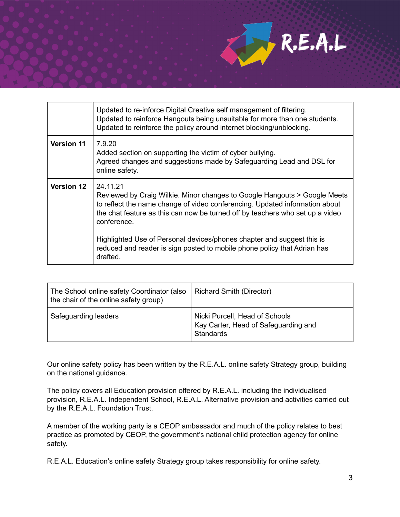

|                   | Updated to re-inforce Digital Creative self management of filtering.<br>Updated to reinforce Hangouts being unsuitable for more than one students.<br>Updated to reinforce the policy around internet blocking/unblocking.                                                                                                                                                                                                             |
|-------------------|----------------------------------------------------------------------------------------------------------------------------------------------------------------------------------------------------------------------------------------------------------------------------------------------------------------------------------------------------------------------------------------------------------------------------------------|
| <b>Version 11</b> | 7.9.20<br>Added section on supporting the victim of cyber bullying.<br>Agreed changes and suggestions made by Safeguarding Lead and DSL for<br>online safety.                                                                                                                                                                                                                                                                          |
| <b>Version 12</b> | 24.11.21<br>Reviewed by Craig Wilkie. Minor changes to Google Hangouts > Google Meets<br>to reflect the name change of video conferencing. Updated information about<br>the chat feature as this can now be turned off by teachers who set up a video<br>conference.<br>Highlighted Use of Personal devices/phones chapter and suggest this is<br>reduced and reader is sign posted to mobile phone policy that Adrian has<br>drafted. |

| The School online safety Coordinator (also<br>the chair of the online safety group) | Richard Smith (Director)                                                            |
|-------------------------------------------------------------------------------------|-------------------------------------------------------------------------------------|
| Safeguarding leaders                                                                | Nicki Purcell, Head of Schools<br>Kay Carter, Head of Safeguarding and<br>Standards |

Our online safety policy has been written by the R.E.A.L. online safety Strategy group, building on the national guidance.

The policy covers all Education provision offered by R.E.A.L. including the individualised provision, R.E.A.L. Independent School, R.E.A.L. Alternative provision and activities carried out by the R.E.A.L. Foundation Trust.

A member of the working party is a CEOP ambassador and much of the policy relates to best practice as promoted by CEOP, the government's national child protection agency for online safety.

R.E.A.L. Education's online safety Strategy group takes responsibility for online safety.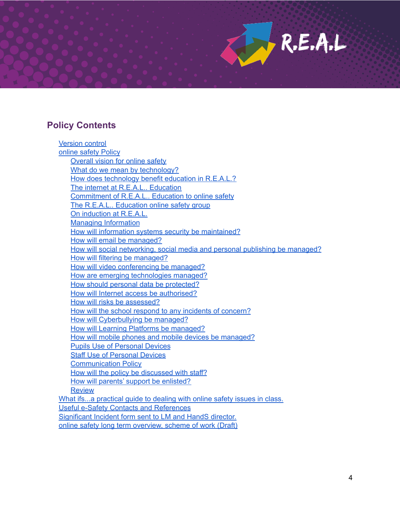# **Policy Contents**

Version control online safety Policy Overall vision for online safety What do we mean by technology? How does technology benefit education in R.E.A.L.? The internet at R.E.A.L.. Education Commitment of R.E.A.L.. Education to online safety The R.E.A.L.. Education online safety group On induction at R.E.A.L. Managing Information How will information systems security be maintained? How will email be managed? How will social networking, social media and personal publishing be managed? How will filtering be managed? How will video conferencing be managed? How are emerging technologies managed? How should personal data be protected? How will Internet access be authorised? How will risks be assessed? How will the school respond to any incidents of concern? How will Cyberbullying be managed? How will Learning Platforms be managed? How will mobile phones and mobile devices be managed? Pupils Use of Personal Devices Staff Use of Personal Devices Communication Policy How will the policy be discussed with staff? How will parents' support be enlisted? **Review** What ifs...a practical guide to dealing with online safety issues in class. Useful e-Safety Contacts and References Significant Incident form sent to LM and HandS director. online safety long term overview, scheme of work (Draft)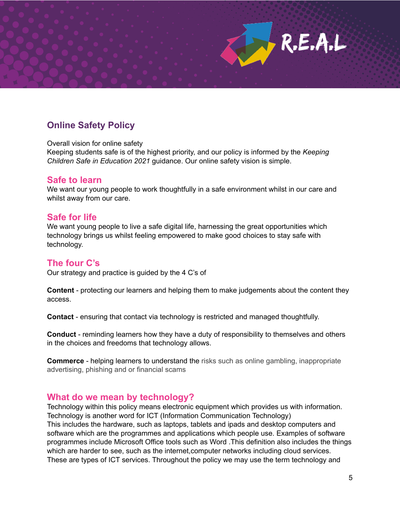# **Online Safety Policy**

Overall vision for online safety

Keeping students safe is of the highest priority, and our policy is informed by the *Keeping Children Safe in Education 2021* guidance. Our online safety vision is simple.

### **Safe to learn**

We want our young people to work thoughtfully in a safe environment whilst in our care and whilst away from our care.

### **Safe for life**

We want young people to live a safe digital life, harnessing the great opportunities which technology brings us whilst feeling empowered to make good choices to stay safe with technology.

### **The four C's**

Our strategy and practice is guided by the 4 C's of

**Content** - protecting our learners and helping them to make judgements about the content they access.

**Contact** - ensuring that contact via technology is restricted and managed thoughtfully.

**Conduct** - reminding learners how they have a duty of responsibility to themselves and others in the choices and freedoms that technology allows.

**Commerce** - helping learners to understand the risks such as online gambling, inappropriate advertising, phishing and or financial scams

### **What do we mean by technology?**

Technology within this policy means electronic equipment which provides us with information. Technology is another word for ICT (Information Communication Technology) This includes the hardware, such as laptops, tablets and ipads and desktop computers and software which are the programmes and applications which people use. Examples of software programmes include Microsoft Office tools such as Word .This definition also includes the things which are harder to see, such as the internet,computer networks including cloud services. These are types of ICT services. Throughout the policy we may use the term technology and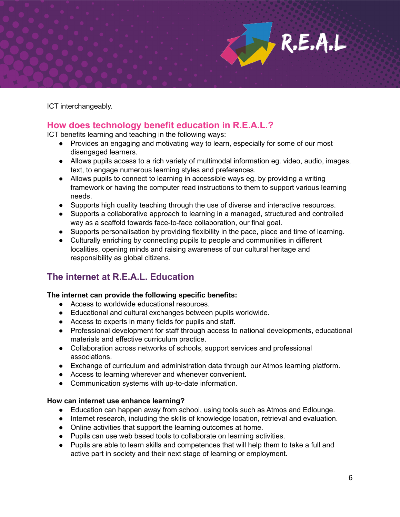ICT interchangeably.

# **How does technology benefit education in R.E.A.L.?**

ICT benefits learning and teaching in the following ways:

- Provides an engaging and motivating way to learn, especially for some of our most disengaged learners.
- Allows pupils access to a rich variety of multimodal information eg. video, audio, images, text, to engage numerous learning styles and preferences.
- Allows pupils to connect to learning in accessible ways eg. by providing a writing framework or having the computer read instructions to them to support various learning needs.
- Supports high quality teaching through the use of diverse and interactive resources.
- Supports a collaborative approach to learning in a managed, structured and controlled way as a scaffold towards face-to-face collaboration, our final goal.
- Supports personalisation by providing flexibility in the pace, place and time of learning.
- Culturally enriching by connecting pupils to people and communities in different localities, opening minds and raising awareness of our cultural heritage and responsibility as global citizens.

# **The internet at R.E.A.L. Education**

### **The internet can provide the following specific benefits:**

- Access to worldwide educational resources.
- Educational and cultural exchanges between pupils worldwide.
- Access to experts in many fields for pupils and staff.
- Professional development for staff through access to national developments, educational materials and effective curriculum practice.
- Collaboration across networks of schools, support services and professional associations.
- Exchange of curriculum and administration data through our Atmos learning platform.
- Access to learning wherever and whenever convenient.
- Communication systems with up-to-date information.

#### **How can internet use enhance learning?**

- Education can happen away from school, using tools such as Atmos and Edlounge.
- Internet research, including the skills of knowledge location, retrieval and evaluation.
- Online activities that support the learning outcomes at home.
- Pupils can use web based tools to collaborate on learning activities.
- Pupils are able to learn skills and competences that will help them to take a full and active part in society and their next stage of learning or employment.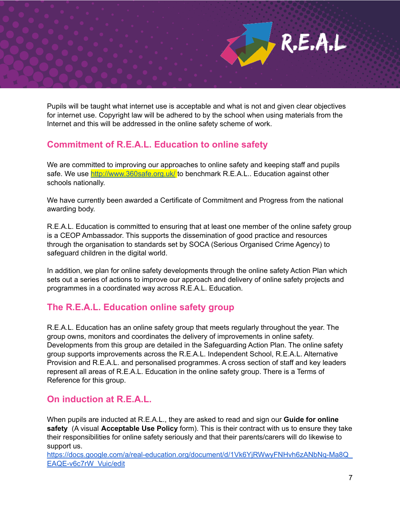Pupils will be taught what internet use is acceptable and what is not and given clear objectives for internet use. Copyright law will be adhered to by the school when using materials from the Internet and this will be addressed in the online safety scheme of work.

# **Commitment of R.E.A.L. Education to online safety**

We are committed to improving our approaches to online safety and keeping staff and pupils safe. We use <http://www.360safe.org.uk/> to benchmark R.E.A.L.. Education against other schools nationally.

We have currently been awarded a Certificate of Commitment and Progress from the national awarding body.

R.E.A.L. Education is committed to ensuring that at least one member of the online safety group is a CEOP Ambassador. This supports the dissemination of good practice and resources through the organisation to standards set by SOCA (Serious Organised Crime Agency) to safeguard children in the digital world.

In addition, we plan for online safety developments through the online safety Action Plan which sets out a series of actions to improve our approach and delivery of online safety projects and programmes in a coordinated way across R.E.A.L. Education.

# **The R.E.A.L. Education online safety group**

R.E.A.L. Education has an online safety group that meets regularly throughout the year. The group owns, monitors and coordinates the delivery of improvements in online safety. Developments from this group are detailed in the Safeguarding Action Plan. The online safety group supports improvements across the R.E.A.L. Independent School, R.E.A.L. Alternative Provision and R.E.A.L. and personalised programmes. A cross section of staff and key leaders represent all areas of R.E.A.L. Education in the online safety group. There is a Terms of Reference for this group.

# **On induction at R.E.A.L.**

When pupils are inducted at R.E.A.L., they are asked to read and sign our **Guide for online safety** (A visual **Acceptable Use Policy** form). This is their contract with us to ensure they take their responsibilities for online safety seriously and that their parents/carers will do likewise to support us.

[https://docs.google.com/a/real-education.org/document/d/1Vk6YjRWwyFNHvh6zANbNq-Ma8Q\\_](https://docs.google.com/a/real-education.org/document/d/1Vk6YjRWwyFNHvh6zANbNq-Ma8Q_EAQE-v6c7rW_Vuic/edit) [EAQE-v6c7rW\\_Vuic/edit](https://docs.google.com/a/real-education.org/document/d/1Vk6YjRWwyFNHvh6zANbNq-Ma8Q_EAQE-v6c7rW_Vuic/edit)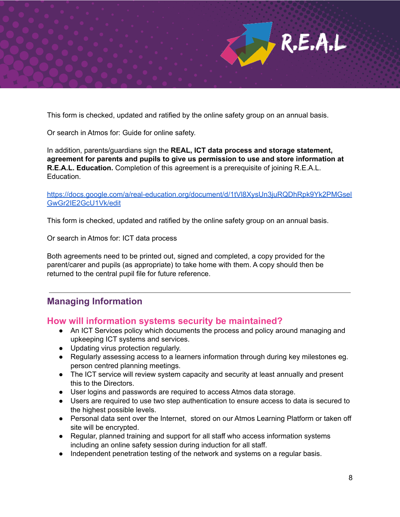This form is checked, updated and ratified by the online safety group on an annual basis.

Or search in Atmos for: Guide for online safety.

In addition, parents/guardians sign the **REAL, ICT data process and storage statement, agreement for parents and pupils to give us permission to use and store information at R.E.A.L. Education.** Completion of this agreement is a prerequisite of joining R.E.A.L. Education.

[https://docs.google.com/a/real-education.org/document/d/1tVl8XysUn3juRQDhRpk9Yk2PMGsel](https://docs.google.com/a/real-education.org/document/d/1tVl8XysUn3juRQDhRpk9Yk2PMGselGwGr2IE2GcU1Vk/edit) [GwGr2IE2GcU1Vk/edit](https://docs.google.com/a/real-education.org/document/d/1tVl8XysUn3juRQDhRpk9Yk2PMGselGwGr2IE2GcU1Vk/edit)

This form is checked, updated and ratified by the online safety group on an annual basis.

Or search in Atmos for: ICT data process

Both agreements need to be printed out, signed and completed, a copy provided for the parent/carer and pupils (as appropriate) to take home with them. A copy should then be returned to the central pupil file for future reference.

# **Managing Information**

### **How will information systems security be maintained?**

- An ICT Services policy which documents the process and policy around managing and upkeeping ICT systems and services.
- Updating virus protection regularly.
- Regularly assessing access to a learners information through during key milestones eg. person centred planning meetings.
- The ICT service will review system capacity and security at least annually and present this to the Directors.
- User logins and passwords are required to access Atmos data storage.
- Users are required to use two step authentication to ensure access to data is secured to the highest possible levels.
- Personal data sent over the Internet, stored on our Atmos Learning Platform or taken off site will be encrypted.
- Regular, planned training and support for all staff who access information systems including an online safety session during induction for all staff.
- Independent penetration testing of the network and systems on a regular basis.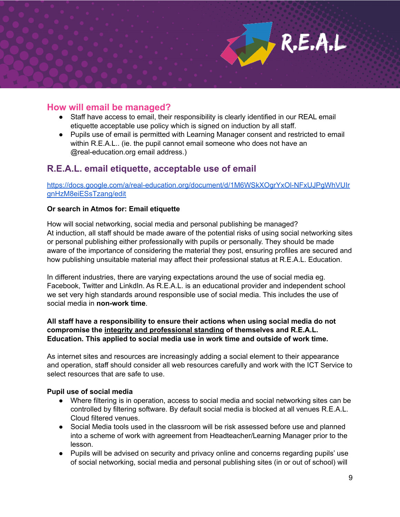### **How will email be managed?**

- Staff have access to email, their responsibility is clearly identified in our REAL email etiquette acceptable use policy which is signed on induction by all staff.
- Pupils use of email is permitted with Learning Manager consent and restricted to email within R.E.A.L.. (ie. the pupil cannot email someone who does not have an @real-education.org email address.)

### **R.E.A.L. email etiquette, acceptable use of email**

[https://docs.google.com/a/real-education.org/document/d/1M6WSkXOgrYxOl-NFxUJPgWhVUIr](https://docs.google.com/a/real-education.org/document/d/1M6WSkXOgrYxOl-NFxUJPgWhVUIrgnHzM8eiESsTzang/edit) [gnHzM8eiESsTzang/edit](https://docs.google.com/a/real-education.org/document/d/1M6WSkXOgrYxOl-NFxUJPgWhVUIrgnHzM8eiESsTzang/edit)

#### **Or search in Atmos for: Email etiquette**

How will social networking, social media and personal publishing be managed? At induction, all staff should be made aware of the potential risks of using social networking sites or personal publishing either professionally with pupils or personally. They should be made aware of the importance of considering the material they post, ensuring profiles are secured and how publishing unsuitable material may affect their professional status at R.E.A.L. Education.

In different industries, there are varying expectations around the use of social media eg. Facebook, Twitter and LinkdIn. As R.E.A.L. is an educational provider and independent school we set very high standards around responsible use of social media. This includes the use of social media in **non-work time**.

#### **All staff have a responsibility to ensure their actions when using social media do not compromise the integrity and professional standing of themselves and R.E.A.L. Education. This applied to social media use in work time and outside of work time.**

As internet sites and resources are increasingly adding a social element to their appearance and operation, staff should consider all web resources carefully and work with the ICT Service to select resources that are safe to use.

#### **Pupil use of social media**

- Where filtering is in operation, access to social media and social networking sites can be controlled by filtering software. By default social media is blocked at all venues R.E.A.L. Cloud filtered venues.
- Social Media tools used in the classroom will be risk assessed before use and planned into a scheme of work with agreement from Headteacher/Learning Manager prior to the lesson.
- Pupils will be advised on security and privacy online and concerns regarding pupils' use of social networking, social media and personal publishing sites (in or out of school) will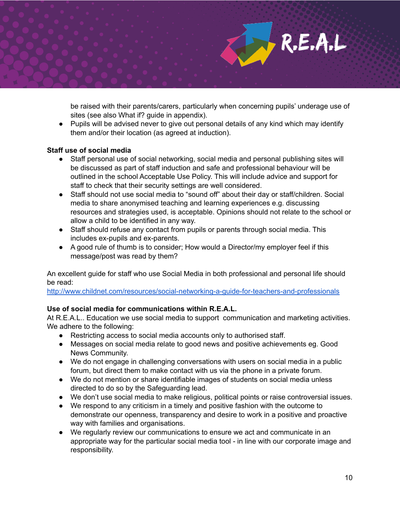be raised with their parents/carers, particularly when concerning pupils' underage use of sites (see also What if? guide in appendix).

R.E.A.L

● Pupils will be advised never to give out personal details of any kind which may identify them and/or their location (as agreed at induction).

### **Staff use of social media**

- Staff personal use of social networking, social media and personal publishing sites will be discussed as part of staff induction and safe and professional behaviour will be outlined in the school Acceptable Use Policy. This will include advice and support for staff to check that their security settings are well considered.
- Staff should not use social media to "sound off" about their day or staff/children. Social media to share anonymised teaching and learning experiences e.g. discussing resources and strategies used, is acceptable. Opinions should not relate to the school or allow a child to be identified in any way.
- Staff should refuse any contact from pupils or parents through social media. This includes ex-pupils and ex-parents.
- A good rule of thumb is to consider; How would a Director/my employer feel if this message/post was read by them?

An excellent guide for staff who use Social Media in both professional and personal life should be read:

<http://www.childnet.com/resources/social-networking-a-guide-for-teachers-and-professionals>

### **Use of social media for communications within R.E.A.L.**

At R.E.A.L.. Education we use social media to support communication and marketing activities. We adhere to the following:

- Restricting access to social media accounts only to authorised staff.
- Messages on social media relate to good news and positive achievements eg. Good News Community.
- We do not engage in challenging conversations with users on social media in a public forum, but direct them to make contact with us via the phone in a private forum.
- We do not mention or share identifiable images of students on social media unless directed to do so by the Safeguarding lead.
- We don't use social media to make religious, political points or raise controversial issues.
- We respond to any criticism in a timely and positive fashion with the outcome to demonstrate our openness, transparency and desire to work in a positive and proactive way with families and organisations.
- We regularly review our communications to ensure we act and communicate in an appropriate way for the particular social media tool - in line with our corporate image and responsibility.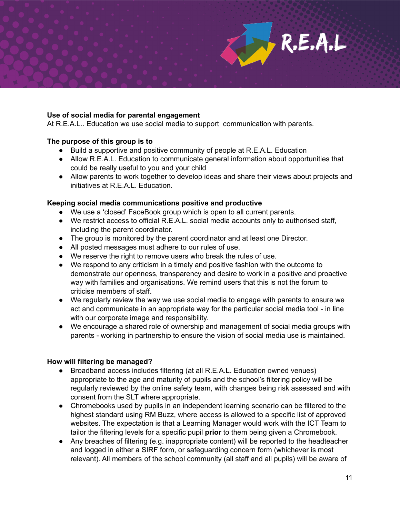### **Use of social media for parental engagement**

At R.E.A.L.. Education we use social media to support communication with parents.

#### **The purpose of this group is to**

- Build a supportive and positive community of people at R.E.A.L. Education
- Allow R.E.A.L. Education to communicate general information about opportunities that could be really useful to you and your child
- Allow parents to work together to develop ideas and share their views about projects and initiatives at R.E.A.L. Education.

#### **Keeping social media communications positive and productive**

- We use a 'closed' FaceBook group which is open to all current parents.
- We restrict access to official R.E.A.L. social media accounts only to authorised staff, including the parent coordinator.
- The group is monitored by the parent coordinator and at least one Director.
- All posted messages must adhere to our rules of use.
- We reserve the right to remove users who break the rules of use.
- We respond to any criticism in a timely and positive fashion with the outcome to demonstrate our openness, transparency and desire to work in a positive and proactive way with families and organisations. We remind users that this is not the forum to criticise members of staff.
- We regularly review the way we use social media to engage with parents to ensure we act and communicate in an appropriate way for the particular social media tool - in line with our corporate image and responsibility.
- We encourage a shared role of ownership and management of social media groups with parents - working in partnership to ensure the vision of social media use is maintained.

#### **How will filtering be managed?**

- Broadband access includes filtering (at all R.E.A.L. Education owned venues) appropriate to the age and maturity of pupils and the school's filtering policy will be regularly reviewed by the online safety team, with changes being risk assessed and with consent from the SLT where appropriate.
- Chromebooks used by pupils in an independent learning scenario can be filtered to the highest standard using RM Buzz, where access is allowed to a specific list of approved websites. The expectation is that a Learning Manager would work with the ICT Team to tailor the filtering levels for a specific pupil **prior** to them being given a Chromebook.
- Any breaches of filtering (e.g. inappropriate content) will be reported to the headteacher and logged in either a SIRF form, or safeguarding concern form (whichever is most relevant). All members of the school community (all staff and all pupils) will be aware of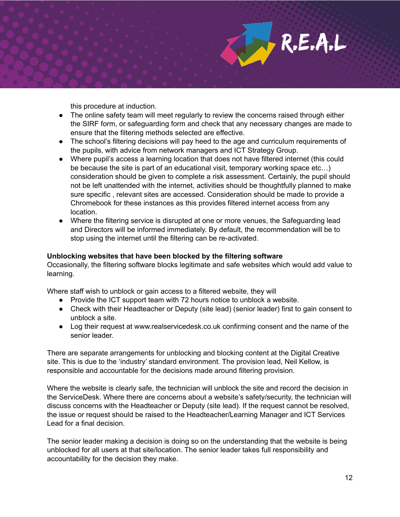this procedure at induction.

- The online safety team will meet regularly to review the concerns raised through either the SIRF form, or safeguarding form and check that any necessary changes are made to ensure that the filtering methods selected are effective.
- The school's filtering decisions will pay heed to the age and curriculum requirements of the pupils, with advice from network managers and ICT Strategy Group.
- Where pupil's access a learning location that does not have filtered internet (this could be because the site is part of an educational visit, temporary working space etc…) consideration should be given to complete a risk assessment. Certainly, the pupil should not be left unattended with the internet, activities should be thoughtfully planned to make sure specific , relevant sites are accessed. Consideration should be made to provide a Chromebook for these instances as this provides filtered internet access from any location.
- Where the filtering service is disrupted at one or more venues, the Safeguarding lead and Directors will be informed immediately. By default, the recommendation will be to stop using the internet until the filtering can be re-activated.

#### **Unblocking websites that have been blocked by the filtering software**

Occasionally, the filtering software blocks legitimate and safe websites which would add value to learning.

Where staff wish to unblock or gain access to a filtered website, they will

- Provide the ICT support team with 72 hours notice to unblock a website.
- Check with their Headteacher or Deputy (site lead) (senior leader) first to gain consent to unblock a site.
- Log their request at www.realservicedesk.co.uk confirming consent and the name of the senior leader.

There are separate arrangements for unblocking and blocking content at the Digital Creative site. This is due to the 'industry' standard environment. The provision lead, Neil Kellow, is responsible and accountable for the decisions made around filtering provision.

Where the website is clearly safe, the technician will unblock the site and record the decision in the ServiceDesk. Where there are concerns about a website's safety/security, the technician will discuss concerns with the Headteacher or Deputy (site lead). If the request cannot be resolved, the issue or request should be raised to the Headteacher/Learning Manager and ICT Services Lead for a final decision.

The senior leader making a decision is doing so on the understanding that the website is being unblocked for all users at that site/location. The senior leader takes full responsibility and accountability for the decision they make.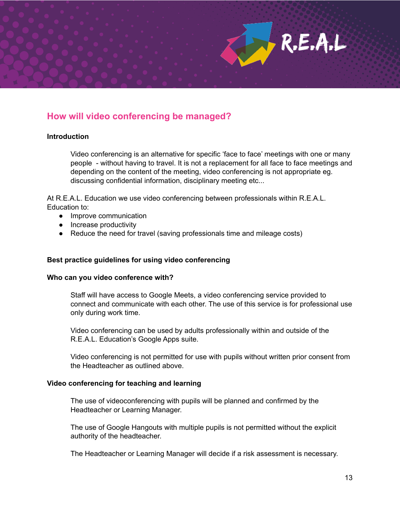# **How will video conferencing be managed?**

#### **Introduction**

Video conferencing is an alternative for specific 'face to face' meetings with one or many people - without having to travel. It is not a replacement for all face to face meetings and depending on the content of the meeting, video conferencing is not appropriate eg. discussing confidential information, disciplinary meeting etc...

 $R.E.A.L$ 

At R.E.A.L. Education we use video conferencing between professionals within R.E.A.L. Education to:

- Improve communication
- Increase productivity
- Reduce the need for travel (saving professionals time and mileage costs)

#### **Best practice guidelines for using video conferencing**

#### **Who can you video conference with?**

Staff will have access to Google Meets, a video conferencing service provided to connect and communicate with each other. The use of this service is for professional use only during work time.

Video conferencing can be used by adults professionally within and outside of the R.E.A.L. Education's Google Apps suite.

Video conferencing is not permitted for use with pupils without written prior consent from the Headteacher as outlined above.

#### **Video conferencing for teaching and learning**

The use of videoconferencing with pupils will be planned and confirmed by the Headteacher or Learning Manager.

The use of Google Hangouts with multiple pupils is not permitted without the explicit authority of the headteacher.

The Headteacher or Learning Manager will decide if a risk assessment is necessary.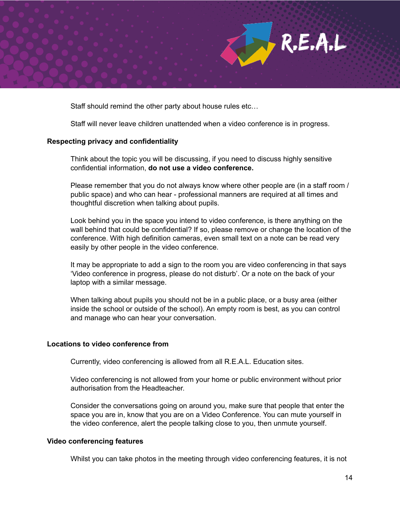

Staff should remind the other party about house rules etc…

Staff will never leave children unattended when a video conference is in progress.

#### **Respecting privacy and confidentiality**

Think about the topic you will be discussing, if you need to discuss highly sensitive confidential information, **do not use a video conference.**

Please remember that you do not always know where other people are (in a staff room / public space) and who can hear - professional manners are required at all times and thoughtful discretion when talking about pupils.

Look behind you in the space you intend to video conference, is there anything on the wall behind that could be confidential? If so, please remove or change the location of the conference. With high definition cameras, even small text on a note can be read very easily by other people in the video conference.

It may be appropriate to add a sign to the room you are video conferencing in that says 'Video conference in progress, please do not disturb'. Or a note on the back of your laptop with a similar message.

When talking about pupils you should not be in a public place, or a busy area (either inside the school or outside of the school). An empty room is best, as you can control and manage who can hear your conversation.

#### **Locations to video conference from**

Currently, video conferencing is allowed from all R.E.A.L. Education sites.

Video conferencing is not allowed from your home or public environment without prior authorisation from the Headteacher.

Consider the conversations going on around you, make sure that people that enter the space you are in, know that you are on a Video Conference. You can mute yourself in the video conference, alert the people talking close to you, then unmute yourself.

#### **Video conferencing features**

Whilst you can take photos in the meeting through video conferencing features, it is not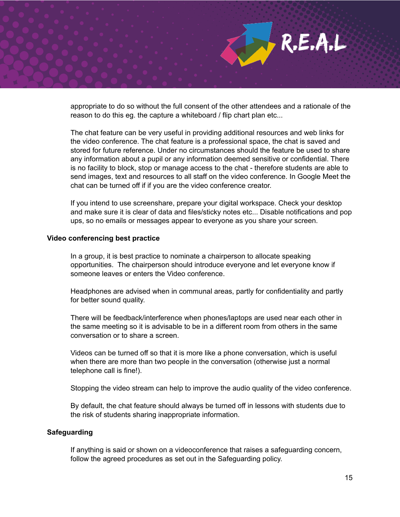appropriate to do so without the full consent of the other attendees and a rationale of the reason to do this eg. the capture a whiteboard / flip chart plan etc...

R.E.A.L

The chat feature can be very useful in providing additional resources and web links for the video conference. The chat feature is a professional space, the chat is saved and stored for future reference. Under no circumstances should the feature be used to share any information about a pupil or any information deemed sensitive or confidential. There is no facility to block, stop or manage access to the chat - therefore students are able to send images, text and resources to all staff on the video conference. In Google Meet the chat can be turned off if if you are the video conference creator.

If you intend to use screenshare, prepare your digital workspace. Check your desktop and make sure it is clear of data and files/sticky notes etc... Disable notifications and pop ups, so no emails or messages appear to everyone as you share your screen.

#### **Video conferencing best practice**

In a group, it is best practice to nominate a chairperson to allocate speaking opportunities. The chairperson should introduce everyone and let everyone know if someone leaves or enters the Video conference.

Headphones are advised when in communal areas, partly for confidentiality and partly for better sound quality.

There will be feedback/interference when phones/laptops are used near each other in the same meeting so it is advisable to be in a different room from others in the same conversation or to share a screen.

Videos can be turned off so that it is more like a phone conversation, which is useful when there are more than two people in the conversation (otherwise just a normal telephone call is fine!).

Stopping the video stream can help to improve the audio quality of the video conference.

By default, the chat feature should always be turned off in lessons with students due to the risk of students sharing inappropriate information.

#### **Safeguarding**

If anything is said or shown on a videoconference that raises a safeguarding concern, follow the agreed procedures as set out in the Safeguarding policy.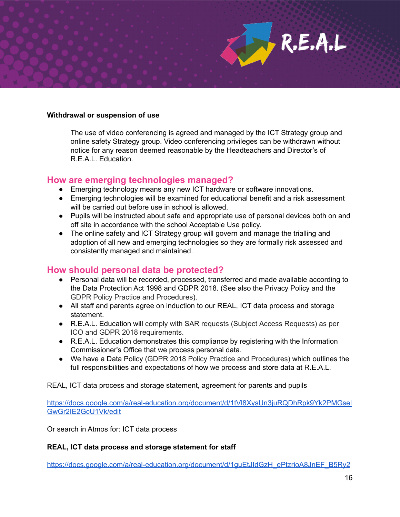### **Withdrawal or suspension of use**

The use of video conferencing is agreed and managed by the ICT Strategy group and online safety Strategy group. Video conferencing privileges can be withdrawn without notice for any reason deemed reasonable by the Headteachers and Director's of R.E.A.L. Education.

### **How are emerging technologies managed?**

- Emerging technology means any new ICT hardware or software innovations.
- Emerging technologies will be examined for educational benefit and a risk assessment will be carried out before use in school is allowed.
- Pupils will be instructed about safe and appropriate use of personal devices both on and off site in accordance with the school Acceptable Use policy.
- The online safety and ICT Strategy group will govern and manage the trialling and adoption of all new and emerging technologies so they are formally risk assessed and consistently managed and maintained.

### **How should personal data be protected?**

- Personal data will be recorded, processed, transferred and made available according to the Data Protection Act 1998 and GDPR 2018. (See also the Privacy Policy and the GDPR Policy Practice and Procedures).
- All staff and parents agree on induction to our REAL, ICT data process and storage statement.
- R.E.A.L. Education will comply with SAR requests (Subject Access Requests) as per ICO and GDPR 2018 requirements.
- R.E.A.L. Education demonstrates this compliance by registering with the Information Commissioner's Office that we process personal data.
- We have a Data Policy (GDPR 2018 Policy Practice and Procedures) which outlines the full responsibilities and expectations of how we process and store data at R.E.A.L.

REAL, ICT data process and storage statement, agreement for parents and pupils

[https://docs.google.com/a/real-education.org/document/d/1tVl8XysUn3juRQDhRpk9Yk2PMGsel](https://docs.google.com/a/real-education.org/document/d/1tVl8XysUn3juRQDhRpk9Yk2PMGselGwGr2IE2GcU1Vk/edit) [GwGr2IE2GcU1Vk/edit](https://docs.google.com/a/real-education.org/document/d/1tVl8XysUn3juRQDhRpk9Yk2PMGselGwGr2IE2GcU1Vk/edit)

Or search in Atmos for: ICT data process

### **REAL, ICT data process and storage statement for staff**

[https://docs.google.com/a/real-education.org/document/d/1guEtJIdGzH\\_ePtzrioA8JnEF\\_B5Ry2](https://docs.google.com/a/real-education.org/document/d/1guEtJIdGzH_ePtzrioA8JnEF_B5Ry2922rxExJuaQ6I/edit)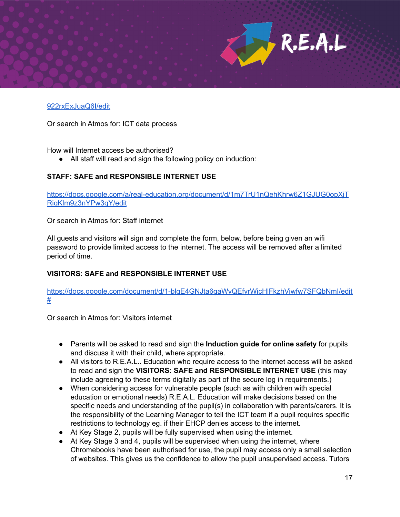

Or search in Atmos for: ICT data process

How will Internet access be authorised?

● All staff will read and sign the following policy on induction:

### **STAFF: SAFE and RESPONSIBLE INTERNET USE**

[https://docs.google.com/a/real-education.org/document/d/1m7TrU1nQehKhrw6Z1GJUG0opXjT](https://docs.google.com/a/real-education.org/document/d/1m7TrU1nQehKhrw6Z1GJUG0opXjTRigKlm9z3nYPw3gY/edit) [RigKlm9z3nYPw3gY/edit](https://docs.google.com/a/real-education.org/document/d/1m7TrU1nQehKhrw6Z1GJUG0opXjTRigKlm9z3nYPw3gY/edit)

Or search in Atmos for: Staff internet

All guests and visitors will sign and complete the form, below, before being given an wifi password to provide limited access to the internet. The access will be removed after a limited period of time.

### **VISITORS: SAFE and RESPONSIBLE INTERNET USE**

[https://docs.google.com/document/d/1-blgE4GNJta6gaWyQEfyrWicHlFkzhViwfw7SFQbNmI/edit](https://docs.google.com/document/d/1-blgE4GNJta6gaWyQEfyrWicHlFkzhViwfw7SFQbNmI/edit#) [#](https://docs.google.com/document/d/1-blgE4GNJta6gaWyQEfyrWicHlFkzhViwfw7SFQbNmI/edit#)

Or search in Atmos for: Visitors internet

- Parents will be asked to read and sign the **Induction guide for online safety** for pupils and discuss it with their child, where appropriate.
- All visitors to R.E.A.L.. Education who require access to the internet access will be asked to read and sign the **VISITORS: SAFE and RESPONSIBLE INTERNET USE** (this may include agreeing to these terms digitally as part of the secure log in requirements.)
- When considering access for vulnerable people (such as with children with special education or emotional needs) R.E.A.L. Education will make decisions based on the specific needs and understanding of the pupil(s) in collaboration with parents/carers. It is the responsibility of the Learning Manager to tell the ICT team if a pupil requires specific restrictions to technology eg. if their EHCP denies access to the internet.
- At Key Stage 2, pupils will be fully supervised when using the internet.
- At Key Stage 3 and 4, pupils will be supervised when using the internet, where Chromebooks have been authorised for use, the pupil may access only a small selection of websites. This gives us the confidence to allow the pupil unsupervised access. Tutors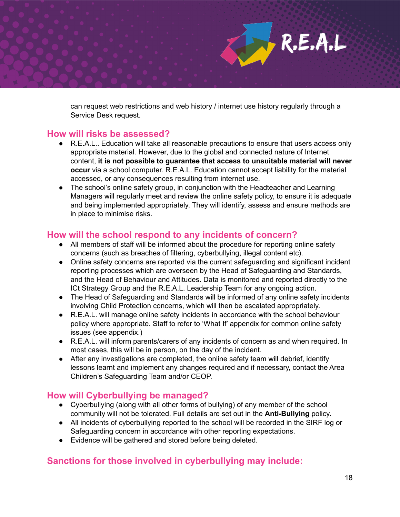can request web restrictions and web history / internet use history regularly through a Service Desk request.

# **How will risks be assessed?**

- R.E.A.L.. Education will take all reasonable precautions to ensure that users access only appropriate material. However, due to the global and connected nature of Internet content, **it is not possible to guarantee that access to unsuitable material will never occur** via a school computer. R.E.A.L. Education cannot accept liability for the material accessed, or any consequences resulting from internet use.
- The school's online safety group, in conjunction with the Headteacher and Learning Managers will regularly meet and review the online safety policy, to ensure it is adequate and being implemented appropriately. They will identify, assess and ensure methods are in place to minimise risks.

### **How will the school respond to any incidents of concern?**

- All members of staff will be informed about the procedure for reporting online safety concerns (such as breaches of filtering, cyberbullying, illegal content etc).
- Online safety concerns are reported via the current safeguarding and significant incident reporting processes which are overseen by the Head of Safeguarding and Standards, and the Head of Behaviour and Attitudes. Data is monitored and reported directly to the ICt Strategy Group and the R.E.A.L. Leadership Team for any ongoing action.
- The Head of Safeguarding and Standards will be informed of any online safety incidents involving Child Protection concerns, which will then be escalated appropriately.
- R.E.A.L. will manage online safety incidents in accordance with the school behaviour policy where appropriate. Staff to refer to 'What If' appendix for common online safety issues (see appendix.)
- R.E.A.L. will inform parents/carers of any incidents of concern as and when required. In most cases, this will be in person, on the day of the incident.
- After any investigations are completed, the online safety team will debrief, identify lessons learnt and implement any changes required and if necessary, contact the Area Children's Safeguarding Team and/or CEOP.

# **How will Cyberbullying be managed?**

- Cyberbullying (along with all other forms of bullying) of any member of the school community will not be tolerated. Full details are set out in the **Anti-Bullying** policy.
- All incidents of cyberbullying reported to the school will be recorded in the SIRF log or Safeguarding concern in accordance with other reporting expectations.
- Evidence will be gathered and stored before being deleted.

# **Sanctions for those involved in cyberbullying may include:**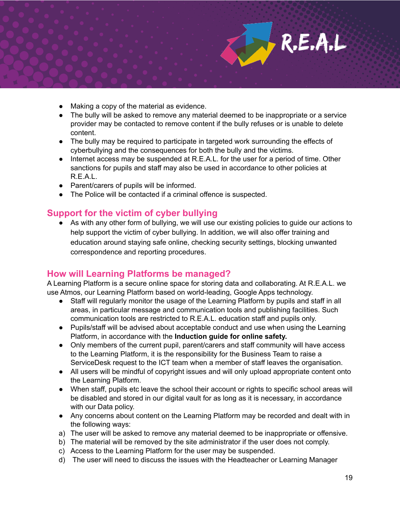

- Making a copy of the material as evidence.
- The bully will be asked to remove any material deemed to be inappropriate or a service provider may be contacted to remove content if the bully refuses or is unable to delete content.
- The bully may be required to participate in targeted work surrounding the effects of cyberbullying and the consequences for both the bully and the victims.
- Internet access may be suspended at R.E.A.L. for the user for a period of time. Other sanctions for pupils and staff may also be used in accordance to other policies at R.E.A.L.
- Parent/carers of pupils will be informed.
- The Police will be contacted if a criminal offence is suspected.

# **Support for the victim of cyber bullying**

● As with any other form of bullying, we will use our existing policies to guide our actions to help support the victim of cyber bullying. In addition, we will also offer training and education around staying safe online, checking security settings, blocking unwanted correspondence and reporting procedures.

# **How will Learning Platforms be managed?**

A Learning Platform is a secure online space for storing data and collaborating. At R.E.A.L. we use Atmos, our Learning Platform based on world-leading, Google Apps technology.

- Staff will regularly monitor the usage of the Learning Platform by pupils and staff in all areas, in particular message and communication tools and publishing facilities. Such communication tools are restricted to R.E.A.L. education staff and pupils only.
- Pupils/staff will be advised about acceptable conduct and use when using the Learning Platform, in accordance with the **Induction guide for online safety.**
- Only members of the current pupil, parent/carers and staff community will have access to the Learning Platform, it is the responsibility for the Business Team to raise a ServiceDesk request to the ICT team when a member of staff leaves the organisation.
- All users will be mindful of copyright issues and will only upload appropriate content onto the Learning Platform.
- When staff, pupils etc leave the school their account or rights to specific school areas will be disabled and stored in our digital vault for as long as it is necessary, in accordance with our Data policy.
- Any concerns about content on the Learning Platform may be recorded and dealt with in the following ways:
- a) The user will be asked to remove any material deemed to be inappropriate or offensive.
- b) The material will be removed by the site administrator if the user does not comply.
- c) Access to the Learning Platform for the user may be suspended.
- d) The user will need to discuss the issues with the Headteacher or Learning Manager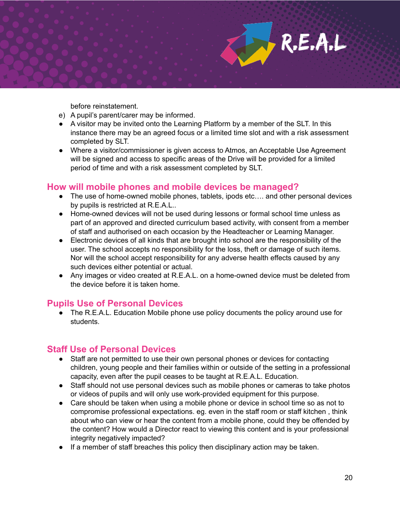before reinstatement.

- e) A pupil's parent/carer may be informed.
- A visitor may be invited onto the Learning Platform by a member of the SLT. In this instance there may be an agreed focus or a limited time slot and with a risk assessment completed by SLT.
- Where a visitor/commissioner is given access to Atmos, an Acceptable Use Agreement will be signed and access to specific areas of the Drive will be provided for a limited period of time and with a risk assessment completed by SLT.

### **How will mobile phones and mobile devices be managed?**

- The use of home-owned mobile phones, tablets, ipods etc.... and other personal devices by pupils is restricted at R.E.A.L..
- Home-owned devices will not be used during lessons or formal school time unless as part of an approved and directed curriculum based activity, with consent from a member of staff and authorised on each occasion by the Headteacher or Learning Manager.
- Electronic devices of all kinds that are brought into school are the responsibility of the user. The school accepts no responsibility for the loss, theft or damage of such items. Nor will the school accept responsibility for any adverse health effects caused by any such devices either potential or actual.
- Any images or video created at R.E.A.L. on a home-owned device must be deleted from the device before it is taken home.

### **Pupils Use of Personal Devices**

● The R.E.A.L. Education Mobile phone use policy documents the policy around use for students.

# **Staff Use of Personal Devices**

- Staff are not permitted to use their own personal phones or devices for contacting children, young people and their families within or outside of the setting in a professional capacity, even after the pupil ceases to be taught at R.E.A.L. Education.
- Staff should not use personal devices such as mobile phones or cameras to take photos or videos of pupils and will only use work-provided equipment for this purpose.
- Care should be taken when using a mobile phone or device in school time so as not to compromise professional expectations. eg. even in the staff room or staff kitchen , think about who can view or hear the content from a mobile phone, could they be offended by the content? How would a Director react to viewing this content and is your professional integrity negatively impacted?
- If a member of staff breaches this policy then disciplinary action may be taken.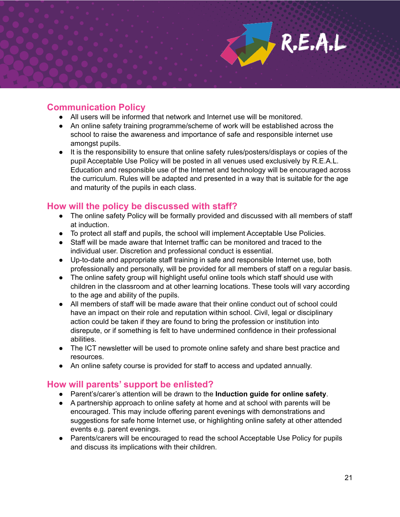## **Communication Policy**

- All users will be informed that network and Internet use will be monitored.
- An online safety training programme/scheme of work will be established across the school to raise the awareness and importance of safe and responsible internet use amongst pupils.
- It is the responsibility to ensure that online safety rules/posters/displays or copies of the pupil Acceptable Use Policy will be posted in all venues used exclusively by R.E.A.L. Education and responsible use of the Internet and technology will be encouraged across the curriculum. Rules will be adapted and presented in a way that is suitable for the age and maturity of the pupils in each class.

### **How will the policy be discussed with staff?**

- The online safety Policy will be formally provided and discussed with all members of staff at induction.
- To protect all staff and pupils, the school will implement Acceptable Use Policies.
- Staff will be made aware that Internet traffic can be monitored and traced to the individual user. Discretion and professional conduct is essential.
- Up-to-date and appropriate staff training in safe and responsible Internet use, both professionally and personally, will be provided for all members of staff on a regular basis.
- The online safety group will highlight useful online tools which staff should use with children in the classroom and at other learning locations. These tools will vary according to the age and ability of the pupils.
- All members of staff will be made aware that their online conduct out of school could have an impact on their role and reputation within school. Civil, legal or disciplinary action could be taken if they are found to bring the profession or institution into disrepute, or if something is felt to have undermined confidence in their professional abilities.
- The ICT newsletter will be used to promote online safety and share best practice and resources.
- An online safety course is provided for staff to access and updated annually.

### **How will parents' support be enlisted?**

- Parent's/carer's attention will be drawn to the **Induction guide for online safety**.
- A partnership approach to online safety at home and at school with parents will be encouraged. This may include offering parent evenings with demonstrations and suggestions for safe home Internet use, or highlighting online safety at other attended events e.g. parent evenings.
- Parents/carers will be encouraged to read the school Acceptable Use Policy for pupils and discuss its implications with their children.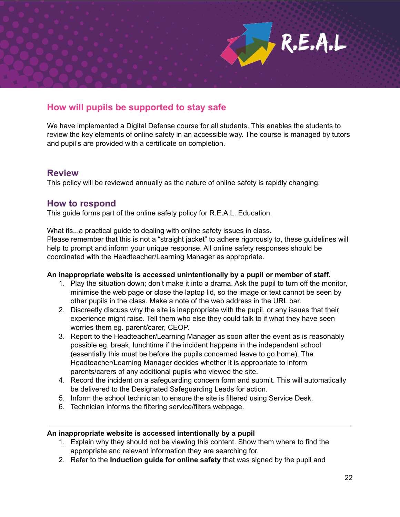

We have implemented a Digital Defense course for all students. This enables the students to review the key elements of online safety in an accessible way. The course is managed by tutors and pupil's are provided with a certificate on completion.

### **Review**

This policy will be reviewed annually as the nature of online safety is rapidly changing.

### **How to respond**

This guide forms part of the online safety policy for R.E.A.L. Education.

What ifs...a practical guide to dealing with online safety issues in class. Please remember that this is not a "straight jacket" to adhere rigorously to, these guidelines will help to prompt and inform your unique response. All online safety responses should be coordinated with the Headteacher/Learning Manager as appropriate.

#### **An inappropriate website is accessed unintentionally by a pupil or member of staff.**

- 1. Play the situation down; don't make it into a drama. Ask the pupil to turn off the monitor, minimise the web page or close the laptop lid, so the image or text cannot be seen by other pupils in the class. Make a note of the web address in the URL bar.
- 2. Discreetly discuss why the site is inappropriate with the pupil, or any issues that their experience might raise. Tell them who else they could talk to if what they have seen worries them eg. parent/carer, CEOP.
- 3. Report to the Headteacher/Learning Manager as soon after the event as is reasonably possible eg. break, lunchtime if the incident happens in the independent school (essentially this must be before the pupils concerned leave to go home). The Headteacher/Learning Manager decides whether it is appropriate to inform parents/carers of any additional pupils who viewed the site.
- 4. Record the incident on a safeguarding concern form and submit. This will automatically be delivered to the Designated Safeguarding Leads for action.
- 5. Inform the school technician to ensure the site is filtered using Service Desk.
- 6. Technician informs the filtering service/filters webpage.

#### **An inappropriate website is accessed intentionally by a pupil**

- 1. Explain why they should not be viewing this content. Show them where to find the appropriate and relevant information they are searching for.
- 2. Refer to the **Induction guide for online safety** that was signed by the pupil and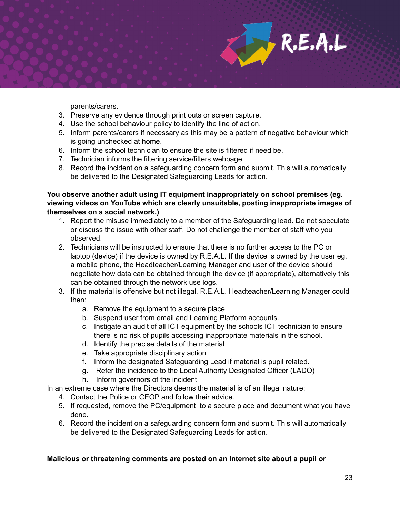parents/carers.

- 3. Preserve any evidence through print outs or screen capture.
- 4. Use the school behaviour policy to identify the line of action.
- 5. Inform parents/carers if necessary as this may be a pattern of negative behaviour which is going unchecked at home.
- 6. Inform the school technician to ensure the site is filtered if need be.
- 7. Technician informs the filtering service/filters webpage.
- 8. Record the incident on a safeguarding concern form and submit. This will automatically be delivered to the Designated Safeguarding Leads for action.

**You observe another adult using IT equipment inappropriately on school premises (eg. viewing videos on YouTube which are clearly unsuitable, posting inappropriate images of themselves on a social network.)**

- 1. Report the misuse immediately to a member of the Safeguarding lead. Do not speculate or discuss the issue with other staff. Do not challenge the member of staff who you observed.
- 2. Technicians will be instructed to ensure that there is no further access to the PC or laptop (device) if the device is owned by R.E.A.L. If the device is owned by the user eg. a mobile phone, the Headteacher/Learning Manager and user of the device should negotiate how data can be obtained through the device (if appropriate), alternatively this can be obtained through the network use logs.
- 3. If the material is offensive but not illegal, R.E.A.L. Headteacher/Learning Manager could then:
	- a. Remove the equipment to a secure place
	- b. Suspend user from email and Learning Platform accounts.
	- c. Instigate an audit of all ICT equipment by the schools ICT technician to ensure there is no risk of pupils accessing inappropriate materials in the school.
	- d. Identify the precise details of the material
	- e. Take appropriate disciplinary action
	- f. Inform the designated Safeguarding Lead if material is pupil related.
	- g. Refer the incidence to the Local Authority Designated Officer (LADO)
	- h. Inform governors of the incident

In an extreme case where the Directors deems the material is of an illegal nature:

- 4. Contact the Police or CEOP and follow their advice.
- 5. If requested, remove the PC/equipment to a secure place and document what you have done.
- 6. Record the incident on a safeguarding concern form and submit. This will automatically be delivered to the Designated Safeguarding Leads for action.

#### **Malicious or threatening comments are posted on an Internet site about a pupil or**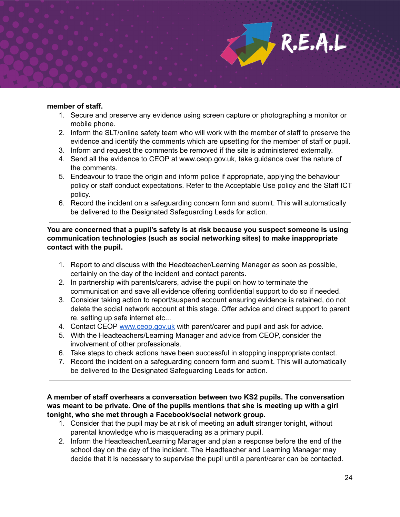#### **member of staff.**

- 1. Secure and preserve any evidence using screen capture or photographing a monitor or mobile phone.
- 2. Inform the SLT/online safety team who will work with the member of staff to preserve the evidence and identify the comments which are upsetting for the member of staff or pupil.
- 3. Inform and request the comments be removed if the site is administered externally.
- 4. Send all the evidence to CEOP at www.ceop.gov.uk, take guidance over the nature of the comments.
- 5. Endeavour to trace the origin and inform police if appropriate, applying the behaviour policy or staff conduct expectations. Refer to the Acceptable Use policy and the Staff ICT policy.
- 6. Record the incident on a safeguarding concern form and submit. This will automatically be delivered to the Designated Safeguarding Leads for action.

**You are concerned that a pupil's safety is at risk because you suspect someone is using communication technologies (such as social networking sites) to make inappropriate contact with the pupil.**

- 1. Report to and discuss with the Headteacher/Learning Manager as soon as possible, certainly on the day of the incident and contact parents.
- 2. In partnership with parents/carers, advise the pupil on how to terminate the communication and save all evidence offering confidential support to do so if needed.
- 3. Consider taking action to report/suspend account ensuring evidence is retained, do not delete the social network account at this stage. Offer advice and direct support to parent re. setting up safe internet etc...
- 4. Contact CEOP [www.ceop.gov.uk](http://www.ceop.gov.uk/) with parent/carer and pupil and ask for advice.
- 5. With the Headteachers/Learning Manager and advice from CEOP, consider the involvement of other professionals.
- 6. Take steps to check actions have been successful in stopping inappropriate contact.
- 7. Record the incident on a safeguarding concern form and submit. This will automatically be delivered to the Designated Safeguarding Leads for action.

**A member of staff overhears a conversation between two KS2 pupils. The conversation was meant to be private. One of the pupils mentions that she is meeting up with a girl tonight, who she met through a Facebook/social network group.**

- 1. Consider that the pupil may be at risk of meeting an **adult** stranger tonight, without parental knowledge who is masquerading as a primary pupil.
- 2. Inform the Headteacher/Learning Manager and plan a response before the end of the school day on the day of the incident. The Headteacher and Learning Manager may decide that it is necessary to supervise the pupil until a parent/carer can be contacted.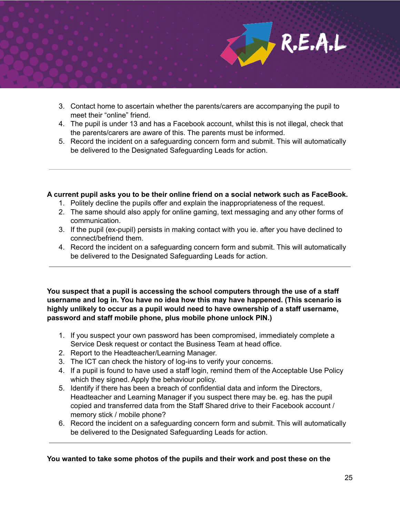

- 3. Contact home to ascertain whether the parents/carers are accompanying the pupil to meet their "online" friend.
- 4. The pupil is under 13 and has a Facebook account, whilst this is not illegal, check that the parents/carers are aware of this. The parents must be informed.
- 5. Record the incident on a safeguarding concern form and submit. This will automatically be delivered to the Designated Safeguarding Leads for action.

#### **A current pupil asks you to be their online friend on a social network such as FaceBook.**

- 1. Politely decline the pupils offer and explain the inappropriateness of the request.
- 2. The same should also apply for online gaming, text messaging and any other forms of communication.
- 3. If the pupil (ex-pupil) persists in making contact with you ie. after you have declined to connect/befriend them.
- 4. Record the incident on a safeguarding concern form and submit. This will automatically be delivered to the Designated Safeguarding Leads for action.

**You suspect that a pupil is accessing the school computers through the use of a staff username and log in. You have no idea how this may have happened. (This scenario is highly unlikely to occur as a pupil would need to have ownership of a staff username, password and staff mobile phone, plus mobile phone unlock PIN.)**

- 1. If you suspect your own password has been compromised, immediately complete a Service Desk request or contact the Business Team at head office.
- 2. Report to the Headteacher/Learning Manager.
- 3. The ICT can check the history of log-ins to verify your concerns.
- 4. If a pupil is found to have used a staff login, remind them of the Acceptable Use Policy which they signed. Apply the behaviour policy.
- 5. Identify if there has been a breach of confidential data and inform the Directors, Headteacher and Learning Manager if you suspect there may be. eg. has the pupil copied and transferred data from the Staff Shared drive to their Facebook account / memory stick / mobile phone?
- 6. Record the incident on a safeguarding concern form and submit. This will automatically be delivered to the Designated Safeguarding Leads for action.

**You wanted to take some photos of the pupils and their work and post these on the**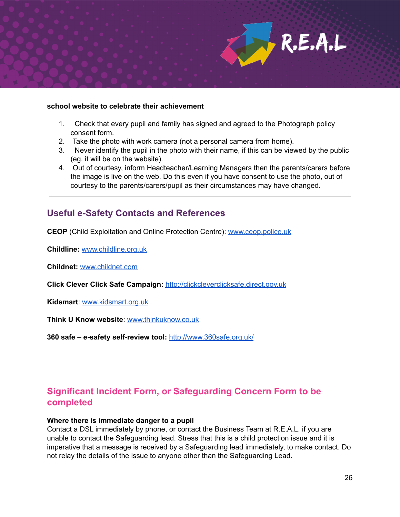

#### **school website to celebrate their achievement**

- 1. Check that every pupil and family has signed and agreed to the Photograph policy consent form.
- 2. Take the photo with work camera (not a personal camera from home).
- 3. Never identify the pupil in the photo with their name, if this can be viewed by the public (eg. it will be on the website).
- 4. Out of courtesy, inform Headteacher/Learning Managers then the parents/carers before the image is live on the web. Do this even if you have consent to use the photo, out of courtesy to the parents/carers/pupil as their circumstances may have changed.

# **Useful e-Safety Contacts and References**

**CEOP** (Child Exploitation and Online Protection Centre): [www.ceop.police.uk](http://www.ceop.police.uk/)

**Childline:** [www.childline.org.uk](http://www.childline.org.uk/)

**Childnet:** [www.childnet.com](http://www.childnet.com/)

**Click Clever Click Safe Campaign:** [http://clickcleverclicksafe.direct.gov.uk](http://clickcleverclicksafe.direct.gov.uk/)

**Kidsmart**: [www.kidsmart.org.uk](http://www.kidsmart.org.uk/)

**Think U Know website**: [www.thinkuknow.co.uk](http://www.thinkuknow.co.uk/)

**360 safe – e-safety self-review tool:** <http://www.360safe.org.uk/>

# **Significant Incident Form, or Safeguarding Concern Form to be completed**

#### **Where there is immediate danger to a pupil**

Contact a DSL immediately by phone, or contact the Business Team at R.E.A.L. if you are unable to contact the Safeguarding lead. Stress that this is a child protection issue and it is imperative that a message is received by a Safeguarding lead immediately, to make contact. Do not relay the details of the issue to anyone other than the Safeguarding Lead.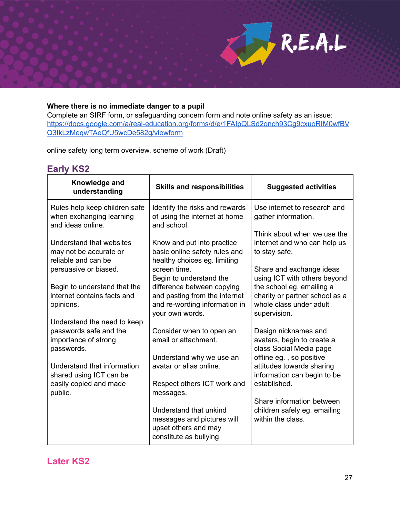

### **Where there is no immediate danger to a pupil**

Complete an SIRF form, or safeguarding concern form and note online safety as an issue: [https://docs.google.com/a/real-education.org/forms/d/e/1FAIpQLSd2onch93Cg9cxuoRIM0wfBV](https://docs.google.com/a/real-education.org/forms/d/e/1FAIpQLSd2onch93Cg9cxuoRIM0wfBVQ3IkLzMeqwTAeQfU5wcDe582g/viewform) [Q3IkLzMeqwTAeQfU5wcDe582g/viewform](https://docs.google.com/a/real-education.org/forms/d/e/1FAIpQLSd2onch93Cg9cxuoRIM0wfBVQ3IkLzMeqwTAeQfU5wcDe582g/viewform)

online safety long term overview, scheme of work (Draft)

### **Early KS2**

| Knowledge and<br>understanding                                                              | <b>Skills and responsibilities</b>                                                                      | <b>Suggested activities</b>                                                           |
|---------------------------------------------------------------------------------------------|---------------------------------------------------------------------------------------------------------|---------------------------------------------------------------------------------------|
| Rules help keep children safe<br>when exchanging learning<br>and ideas online.              | Identify the risks and rewards<br>of using the internet at home<br>and school.                          | Use internet to research and<br>gather information.                                   |
| Understand that websites<br>may not be accurate or<br>reliable and can be                   | Know and put into practice<br>basic online safety rules and<br>healthy choices eg. limiting             | Think about when we use the<br>internet and who can help us<br>to stay safe.          |
| persuasive or biased.<br>Begin to understand that the                                       | screen time.<br>Begin to understand the<br>difference between copying                                   | Share and exchange ideas<br>using ICT with others beyond<br>the school eg. emailing a |
| internet contains facts and<br>opinions.                                                    | and pasting from the internet<br>and re-wording information in<br>your own words.                       | charity or partner school as a<br>whole class under adult<br>supervision.             |
| Understand the need to keep<br>passwords safe and the<br>importance of strong<br>passwords. | Consider when to open an<br>email or attachment.                                                        | Design nicknames and<br>avatars, begin to create a<br>class Social Media page         |
| Understand that information<br>shared using ICT can be                                      | Understand why we use an<br>avatar or alias online.                                                     | offline eg., so positive<br>attitudes towards sharing<br>information can begin to be  |
| easily copied and made<br>public.                                                           | Respect others ICT work and<br>messages.                                                                | established.<br>Share information between                                             |
|                                                                                             | Understand that unkind<br>messages and pictures will<br>upset others and may<br>constitute as bullying. | children safely eg. emailing<br>within the class.                                     |

**Later KS2**